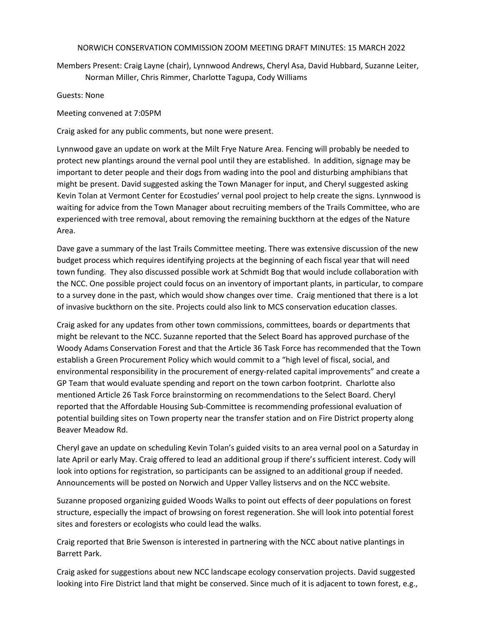## NORWICH CONSERVATION COMMISSION ZOOM MEETING DRAFT MINUTES: 15 MARCH 2022

Members Present: Craig Layne (chair), Lynnwood Andrews, Cheryl Asa, David Hubbard, Suzanne Leiter, Norman Miller, Chris Rimmer, Charlotte Tagupa, Cody Williams

Guests: None

Meeting convened at 7:05PM

Craig asked for any public comments, but none were present.

Lynnwood gave an update on work at the Milt Frye Nature Area. Fencing will probably be needed to protect new plantings around the vernal pool until they are established. In addition, signage may be important to deter people and their dogs from wading into the pool and disturbing amphibians that might be present. David suggested asking the Town Manager for input, and Cheryl suggested asking Kevin Tolan at Vermont Center for Ecostudies' vernal pool project to help create the signs. Lynnwood is waiting for advice from the Town Manager about recruiting members of the Trails Committee, who are experienced with tree removal, about removing the remaining buckthorn at the edges of the Nature Area.

Dave gave a summary of the last Trails Committee meeting. There was extensive discussion of the new budget process which requires identifying projects at the beginning of each fiscal year that will need town funding. They also discussed possible work at Schmidt Bog that would include collaboration with the NCC. One possible project could focus on an inventory of important plants, in particular, to compare to a survey done in the past, which would show changes over time. Craig mentioned that there is a lot of invasive buckthorn on the site. Projects could also link to MCS conservation education classes.

Craig asked for any updates from other town commissions, committees, boards or departments that might be relevant to the NCC. Suzanne reported that the Select Board has approved purchase of the Woody Adams Conservation Forest and that the Article 36 Task Force has recommended that the Town establish a Green Procurement Policy which would commit to a "high level of fiscal, social, and environmental responsibility in the procurement of energy-related capital improvements" and create a GP Team that would evaluate spending and report on the town carbon footprint. Charlotte also mentioned Article 26 Task Force brainstorming on recommendations to the Select Board. Cheryl reported that the Affordable Housing Sub-Committee is recommending professional evaluation of potential building sites on Town property near the transfer station and on Fire District property along Beaver Meadow Rd.

Cheryl gave an update on scheduling Kevin Tolan's guided visits to an area vernal pool on a Saturday in late April or early May. Craig offered to lead an additional group if there's sufficient interest. Cody will look into options for registration, so participants can be assigned to an additional group if needed. Announcements will be posted on Norwich and Upper Valley listservs and on the NCC website.

Suzanne proposed organizing guided Woods Walks to point out effects of deer populations on forest structure, especially the impact of browsing on forest regeneration. She will look into potential forest sites and foresters or ecologists who could lead the walks.

Craig reported that Brie Swenson is interested in partnering with the NCC about native plantings in Barrett Park.

Craig asked for suggestions about new NCC landscape ecology conservation projects. David suggested looking into Fire District land that might be conserved. Since much of it is adjacent to town forest, e.g.,